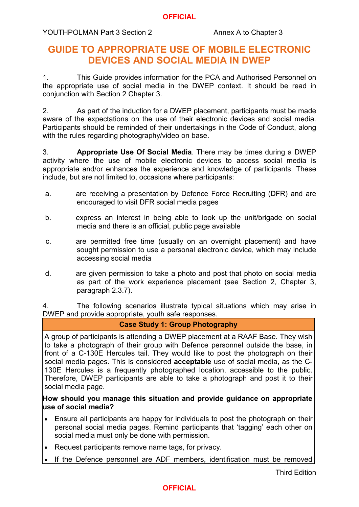#### **OFFICIAL**

# YOUTHPOLMAN Part 3 Section 2 Annex A to Chapter 3

# **GUIDE TO APPROPRIATE USE OF MOBILE ELECTRONIC DEVICES AND SOCIAL MEDIA IN DWEP**

1. This Guide provides information for the PCA and Authorised Personnel on the appropriate use of social media in the DWEP context. It should be read in conjunction with Section 2 Chapter 3.

2. As part of the induction for a DWEP placement, participants must be made aware of the expectations on the use of their electronic devices and social media. Participants should be reminded of their undertakings in the Code of Conduct, along with the rules regarding photography/video on base.

3. **Appropriate Use Of Social Media**. There may be times during a DWEP activity where the use of mobile electronic devices to access social media is appropriate and/or enhances the experience and knowledge of participants. These include, but are not limited to, occasions where participants:

- a. are receiving a presentation by Defence Force Recruiting (DFR) and are encouraged to visit DFR social media pages
- b. express an interest in being able to look up the unit/brigade on social media and there is an official, public page available
- c. are permitted free time (usually on an overnight placement) and have sought permission to use a personal electronic device, which may include accessing social media
- d. are given permission to take a photo and post that photo on social media as part of the work experience placement (see Section 2, Chapter 3, paragraph 2.3.7).

4. The following scenarios illustrate typical situations which may arise in DWEP and provide appropriate, youth safe responses.

## **Case Study 1: Group Photography**

A group of participants is attending a DWEP placement at a RAAF Base. They wish to take a photograph of their group with Defence personnel outside the base, in front of a C-130E Hercules tail. They would like to post the photograph on their social media pages. This is considered **acceptable** use of social media, as the C-130E Hercules is a frequently photographed location, accessible to the public. Therefore, DWEP participants are able to take a photograph and post it to their social media page.

## **How should you manage this situation and provide guidance on appropriate use of social media?**

- Ensure all participants are happy for individuals to post the photograph on their personal social media pages. Remind participants that 'tagging' each other on social media must only be done with permission.
- Request participants remove name tags, for privacy.
- If the Defence personnel are ADF members, identification must be removed

# **OFFICIAL**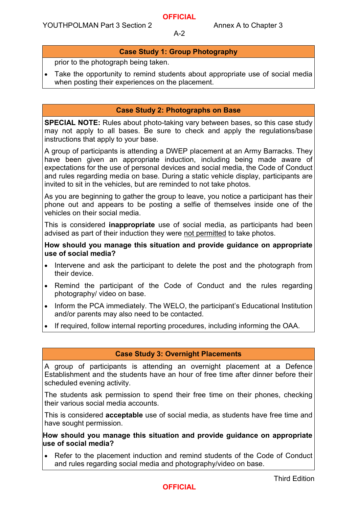#### A-2

# **Case Study 1: Group Photography**

prior to the photograph being taken.

• Take the opportunity to remind students about appropriate use of social media when posting their experiences on the placement.

#### **Case Study 2: Photographs on Base**

**SPECIAL NOTE:** Rules about photo-taking vary between bases, so this case study may not apply to all bases. Be sure to check and apply the regulations/base instructions that apply to your base.

A group of participants is attending a DWEP placement at an Army Barracks. They have been given an appropriate induction, including being made aware of expectations for the use of personal devices and social media, the Code of Conduct and rules regarding media on base. During a static vehicle display, participants are invited to sit in the vehicles, but are reminded to not take photos.

As you are beginning to gather the group to leave, you notice a participant has their phone out and appears to be posting a selfie of themselves inside one of the vehicles on their social media.

This is considered **inappropriate** use of social media, as participants had been advised as part of their induction they were not permitted to take photos.

#### **How should you manage this situation and provide guidance on appropriate use of social media?**

- Intervene and ask the participant to delete the post and the photograph from their device.
- Remind the participant of the Code of Conduct and the rules regarding photography/ video on base.
- Inform the PCA immediately. The WELO, the participant's Educational Institution and/or parents may also need to be contacted.
- If required, follow internal reporting procedures, including informing the OAA.

## **Case Study 3: Overnight Placements**

A group of participants is attending an overnight placement at a Defence Establishment and the students have an hour of free time after dinner before their scheduled evening activity.

The students ask permission to spend their free time on their phones, checking their various social media accounts.

This is considered **acceptable** use of social media, as students have free time and have sought permission.

**How should you manage this situation and provide guidance on appropriate use of social media?**

• Refer to the placement induction and remind students of the Code of Conduct and rules regarding social media and photography/video on base.

# **OFFICIAL**